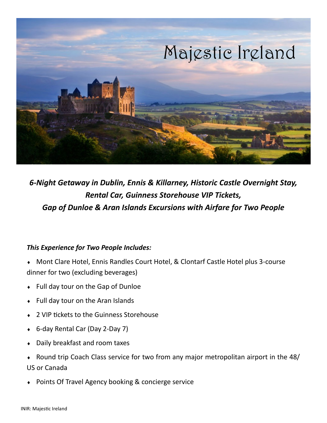

*6-Night Getaway in Dublin, Ennis & Killarney, Historic Castle Overnight Stay, Rental Car, Guinness Storehouse VIP Tickets, Gap of Dunloe & Aran Islands Excursions with Airfare for Two People*

## *This Experience for Two People Includes:*

- Mont Clare Hotel, Ennis Randles Court Hotel, & Clontarf Castle Hotel plus 3-course dinner for two (excluding beverages)
- Full day tour on the Gap of Dunloe
- Full day tour on the Aran Islands
- 2 VIP tickets to the Guinness Storehouse
- 6-day Rental Car (Day 2-Day 7)
- Daily breakfast and room taxes
- Round trip Coach Class service for two from any major metropolitan airport in the 48/ US or Canada
- Points Of Travel Agency booking & concierge service